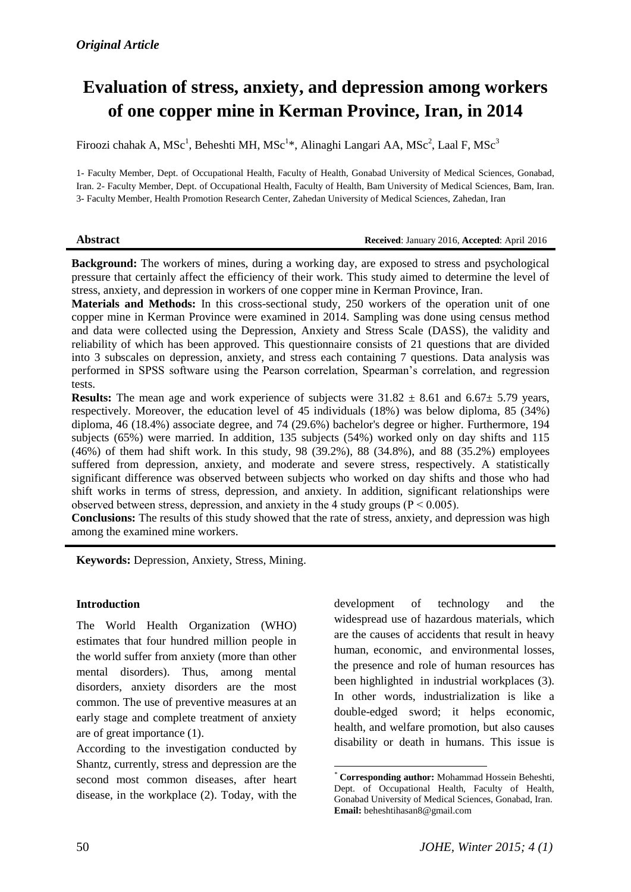# **Evaluation of stress, anxiety, and depression among workers of one copper mine in Kerman Province, Iran, in 2014**

Firoozi chahak A, MSc<sup>1</sup>, Beheshti MH, MSc<sup>1\*</sup>, Alinaghi Langari AA, MSc<sup>2</sup>, Laal F, MSc<sup>3</sup>

1- Faculty Member, Dept. of Occupational Health, Faculty of Health, Gonabad University of Medical Sciences, Gonabad, Iran. 2- Faculty Member, Dept. of Occupational Health, Faculty of Health, Bam University of Medical Sciences, Bam, Iran. 3- Faculty Member, Health Promotion Research Center, Zahedan University of Medical Sciences, Zahedan, Iran

#### **Abstract Received**: January 2016, **Accepted**: April 2016

**Background:** The workers of mines, during a working day, are exposed to stress and psychological pressure that certainly affect the efficiency of their work. This study aimed to determine the level of stress, anxiety, and depression in workers of one copper mine in Kerman Province, Iran.

**Materials and Methods:** In this cross-sectional study, 250 workers of the operation unit of one copper mine in Kerman Province were examined in 2014. Sampling was done using census method and data were collected using the Depression, Anxiety and Stress Scale (DASS), the validity and reliability of which has been approved. This questionnaire consists of 21 questions that are divided into 3 subscales on depression, anxiety, and stress each containing 7 questions. Data analysis was performed in SPSS software using the Pearson correlation, Spearman's correlation, and regression tests.

**Results:** The mean age and work experience of subjects were  $31.82 \pm 8.61$  and  $6.67 \pm 5.79$  years, respectively. Moreover, the education level of 45 individuals (18%) was below diploma, 85 (34%) diploma, 46 (18.4%) associate degree, and 74 (29.6%) bachelor's degree or higher. Furthermore, 194 subjects (65%) were married. In addition, 135 subjects (54%) worked only on day shifts and 115 (46%) of them had shift work. In this study, 98 (39.2%), 88 (34.8%), and 88 (35.2%) employees suffered from depression, anxiety, and moderate and severe stress, respectively. A statistically significant difference was observed between subjects who worked on day shifts and those who had shift works in terms of stress, depression, and anxiety. In addition, significant relationships were observed between stress, depression, and anxiety in the 4 study groups ( $P \le 0.005$ ).

**Conclusions:** The results of this study showed that the rate of stress, anxiety, and depression was high among the examined mine workers.

**.** 

**Keywords:** Depression, Anxiety, Stress, Mining.

#### **Introduction**

The World Health Organization (WHO) estimates that four hundred million people in the world suffer from anxiety (more than other mental disorders). Thus, among mental disorders, anxiety disorders are the most common. The use of preventive measures at an early stage and complete treatment of anxiety are of great importance (1).

According to the investigation conducted by Shantz, currently, stress and depression are the second most common diseases, after heart disease, in the workplace (2). Today, with the development of technology and the widespread use of hazardous materials, which are the causes of accidents that result in heavy human, economic, and environmental losses, the presence and role of human resources has been highlighted in industrial workplaces (3). In other words, industrialization is like a double-edged sword; it helps economic, health, and welfare promotion, but also causes disability or death in humans. This issue is

*<sup>\*</sup>* **Corresponding author:** Mohammad Hossein Beheshti, Dept. of Occupational Health, Faculty of Health, Gonabad University of Medical Sciences, Gonabad, Iran. **Email:** beheshtihasan8@gmail.com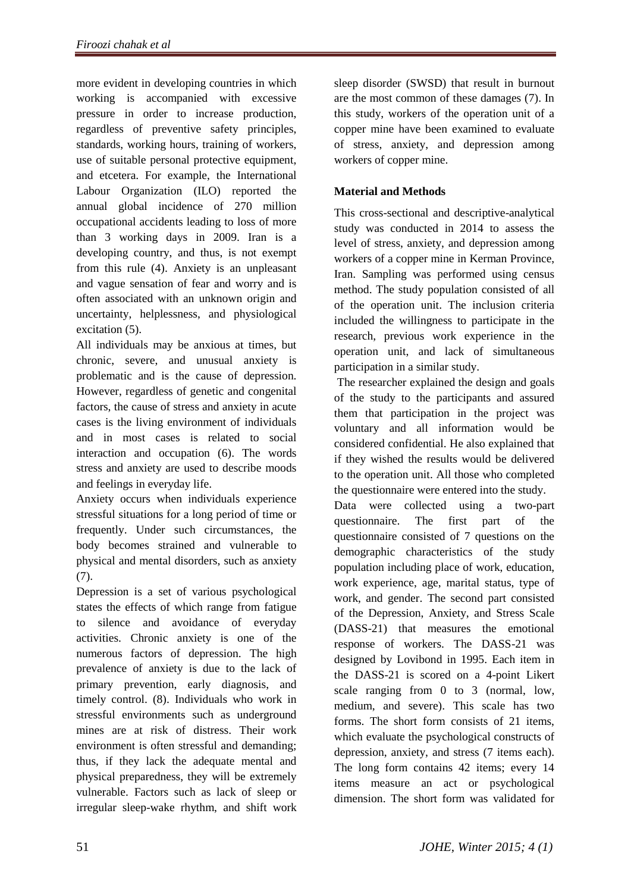more evident in developing countries in which working is accompanied with excessive pressure in order to increase production, regardless of preventive safety principles, standards, working hours, training of workers, use of suitable personal protective equipment, and etcetera. For example, the International Labour Organization (ILO) reported the annual global incidence of 270 million occupational accidents leading to loss of more than 3 working days in 2009. Iran is a developing country, and thus, is not exempt from this rule (4). Anxiety is an unpleasant and vague sensation of fear and worry and is often associated with an unknown origin and uncertainty, helplessness, and physiological excitation (5).

All individuals may be anxious at times, but chronic, severe, and unusual anxiety is problematic and is the cause of depression. However, regardless of genetic and congenital factors, the cause of stress and anxiety in acute cases is the living environment of individuals and in most cases is related to social interaction and occupation (6). The words stress and anxiety are used to describe moods and feelings in everyday life.

Anxiety occurs when individuals experience stressful situations for a long period of time or frequently. Under such circumstances, the body becomes strained and vulnerable to physical and mental disorders, such as anxiety (7).

Depression is a set of various psychological states the effects of which range from fatigue to silence and avoidance of everyday activities. Chronic anxiety is one of the numerous factors of depression. The high prevalence of anxiety is due to the lack of primary prevention, early diagnosis, and timely control. (8). Individuals who work in stressful environments such as underground mines are at risk of distress. Their work environment is often stressful and demanding; thus, if they lack the adequate mental and physical preparedness, they will be extremely vulnerable. Factors such as lack of sleep or irregular sleep-wake rhythm, and shift work

sleep disorder (SWSD) that result in burnout are the most common of these damages (7). In this study, workers of the operation unit of a copper mine have been examined to evaluate of stress, anxiety, and depression among workers of copper mine.

## **Material and Methods**

This cross-sectional and descriptive-analytical study was conducted in 2014 to assess the level of stress, anxiety, and depression among workers of a copper mine in Kerman Province, Iran. Sampling was performed using census method. The study population consisted of all of the operation unit. The inclusion criteria included the willingness to participate in the research, previous work experience in the operation unit, and lack of simultaneous participation in a similar study.

The researcher explained the design and goals of the study to the participants and assured them that participation in the project was voluntary and all information would be considered confidential. He also explained that if they wished the results would be delivered to the operation unit. All those who completed the questionnaire were entered into the study.

Data were collected using a two-part questionnaire. The first part of the questionnaire consisted of 7 questions on the demographic characteristics of the study population including place of work, education, work experience, age, marital status, type of work, and gender. The second part consisted of the Depression, Anxiety, and Stress Scale (DASS-21) that measures the emotional response of workers. The DASS-21 was designed by Lovibond in 1995. Each item in the DASS-21 is scored on a 4-point Likert scale ranging from 0 to 3 (normal, low, medium, and severe). This scale has two forms. The short form consists of 21 items, which evaluate the psychological constructs of depression, anxiety, and stress (7 items each). The long form contains 42 items; every 14 items measure an act or psychological dimension. The short form was validated for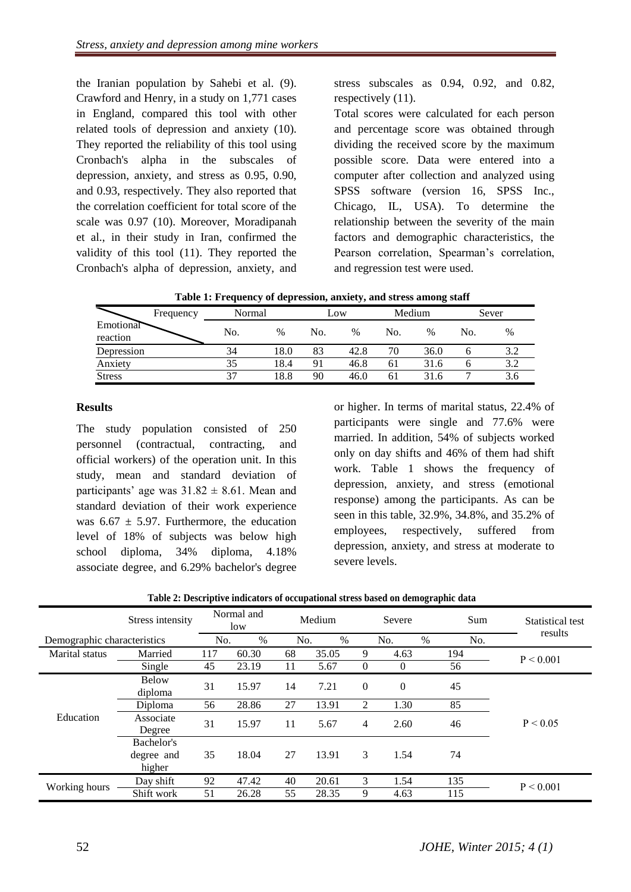the Iranian population by Sahebi et al. (9). Crawford and Henry, in a study on 1,771 cases in England, compared this tool with other related tools of depression and anxiety (10). They reported the reliability of this tool using Cronbach's alpha in the subscales of depression, anxiety, and stress as 0.95, 0.90, and 0.93, respectively. They also reported that the correlation coefficient for total score of the scale was 0.97 (10). Moreover, Moradipanah et al., in their study in Iran, confirmed the validity of this tool (11). They reported the Cronbach's alpha of depression, anxiety, and

stress subscales as 0.94, 0.92, and 0.82, respectively (11).

Total scores were calculated for each person and percentage score was obtained through dividing the received score by the maximum possible score. Data were entered into a computer after collection and analyzed using SPSS software (version 16, SPSS Inc., Chicago, IL, USA). To determine the relationship between the severity of the main factors and demographic characteristics, the Pearson correlation, Spearman's correlation, and regression test were used.

|  | Table 1: Frequency of depression, anxiety, and stress among staff |  |  |
|--|-------------------------------------------------------------------|--|--|
|  |                                                                   |  |  |

|                       | Frequency | Normal |      | LOW |      | Medium |      | Sever |      |
|-----------------------|-----------|--------|------|-----|------|--------|------|-------|------|
| Emotional<br>reaction |           | No.    | $\%$ | No. | $\%$ | No.    | $\%$ | No.   | $\%$ |
| Depression            |           | 34     | 18.0 | 83  | 42.8 | 70     | 36.0 |       | 3.2  |
| Anxiety               |           | 35     | 18.4 | 91  | 46.8 | 61     | 31.6 |       | 3.2  |
| <b>Stress</b>         |           | 37     | 18.8 | 90  | 46.0 | 61     | 31.6 |       | 3.6  |

#### **Results**

The study population consisted of 250 personnel (contractual, contracting, and official workers) of the operation unit. In this study, mean and standard deviation of participants' age was  $31.82 \pm 8.61$ . Mean and standard deviation of their work experience was  $6.67 \pm 5.97$ . Furthermore, the education level of 18% of subjects was below high school diploma, 34% diploma, 4.18% associate degree, and 6.29% bachelor's degree

or higher. In terms of marital status, 22.4% of participants were single and 77.6% were married. In addition, 54% of subjects worked only on day shifts and 46% of them had shift work. Table 1 shows the frequency of depression, anxiety, and stress (emotional response) among the participants. As can be seen in this table, 32.9%, 34.8%, and 35.2% of employees, respectively, suffered from depression, anxiety, and stress at moderate to severe levels.

|                             | Stress intensity                   | Normal and<br>low |       | Medium |       | Severe         |          |      | Sum | Statistical test |
|-----------------------------|------------------------------------|-------------------|-------|--------|-------|----------------|----------|------|-----|------------------|
| Demographic characteristics |                                    | No.               | $\%$  | No.    | $\%$  |                | No.      | $\%$ | No. | results          |
| Marital status              | Married                            | 117               | 60.30 | 68     | 35.05 | 9              | 4.63     |      | 194 | P < 0.001        |
|                             | Single                             | 45                | 23.19 | 11     | 5.67  | $\overline{0}$ | $\theta$ |      | 56  |                  |
| Education                   | <b>Below</b><br>diploma            | 31                | 15.97 | 14     | 7.21  | $\overline{0}$ | $\theta$ |      | 45  |                  |
|                             | Diploma                            | 56                | 28.86 | 27     | 13.91 | 2              | 1.30     |      | 85  |                  |
|                             | Associate<br>Degree                | 31                | 15.97 | 11     | 5.67  | 4              | 2.60     |      | 46  | P < 0.05         |
|                             | Bachelor's<br>degree and<br>higher | 35                | 18.04 | 27     | 13.91 | 3              | 1.54     |      | 74  |                  |
|                             | Day shift                          | 92                | 47.42 | 40     | 20.61 | 3              | 1.54     |      | 135 | P < 0.001        |
| Working hours               | Shift work                         | 51                | 26.28 | 55     | 28.35 | 9              | 4.63     |      | 115 |                  |

|  |  | Table 2: Descriptive indicators of occupational stress based on demographic data |
|--|--|----------------------------------------------------------------------------------|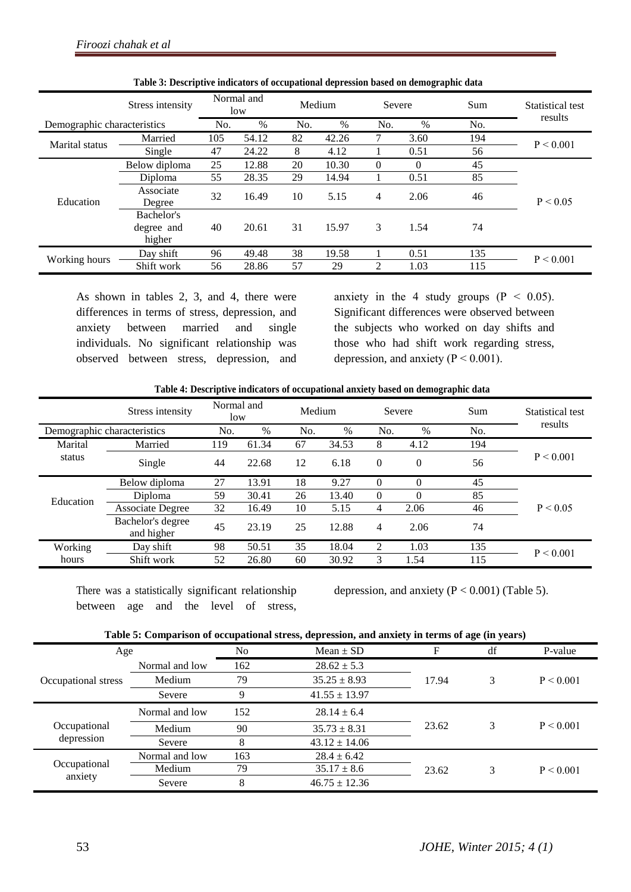|                             | Stress intensity                   |     | Normal and<br>low |     | Medium | Severe   |          | Sum | Statistical test<br>results |
|-----------------------------|------------------------------------|-----|-------------------|-----|--------|----------|----------|-----|-----------------------------|
| Demographic characteristics |                                    | No. | $\%$              | No. | %      | No.      | $\%$     | No. |                             |
| Marital status              | Married                            | 105 | 54.12             | 82  | 42.26  |          | 3.60     | 194 | P < 0.001                   |
|                             | Single                             | 47  | 24.22             | 8   | 4.12   |          | 0.51     | 56  |                             |
|                             | Below diploma                      | 25  | 12.88             | 20  | 10.30  | $\theta$ | $\Omega$ | 45  |                             |
|                             | Diploma                            | 55  | 28.35             | 29  | 14.94  |          | 0.51     | 85  |                             |
| Education                   | Associate<br>Degree                | 32  | 16.49             | 10  | 5.15   | 4        | 2.06     | 46  | P < 0.05                    |
|                             | Bachelor's<br>degree and<br>higher | 40  | 20.61             | 31  | 15.97  | 3        | 1.54     | 74  |                             |
| Working hours               | Day shift                          | 96  | 49.48             | 38  | 19.58  |          | 0.51     | 135 | P < 0.001                   |
|                             | Shift work                         | 56  | 28.86             | 57  | 29     | 2        | 1.03     | 115 |                             |

**Table 3: Descriptive indicators of occupational depression based on demographic data**

As shown in tables 2, 3, and 4, there were differences in terms of stress, depression, and anxiety between married and single individuals. No significant relationship was observed between stress, depression, and anxiety in the 4 study groups  $(P < 0.05)$ . Significant differences were observed between the subjects who worked on day shifts and those who had shift work regarding stress, depression, and anxiety ( $P \le 0.001$ ).

**Table 4: Descriptive indicators of occupational anxiety based on demographic data**

|           | Stress intensity                | Normal and<br>low |       | Medium |       | Severe   |             | Sum       | Statistical test |
|-----------|---------------------------------|-------------------|-------|--------|-------|----------|-------------|-----------|------------------|
|           | Demographic characteristics     | No.               | $\%$  | No.    | $\%$  | No.      | $\%$        | No.       | results          |
| Marital   | Married                         | 119               | 61.34 | 67     | 34.53 | 8        | 4.12        | 194       |                  |
| status    | Single                          | 44                | 22.68 | 12     | 6.18  | $\theta$ | $\theta$    | 56        | P < 0.001        |
|           | Below diploma                   | 27                | 13.91 | 18     | 9.27  | $\Omega$ | 0           | 45        |                  |
| Education | Diploma                         | 59                | 30.41 | 26     | 13.40 | $\Omega$ |             | 85        |                  |
|           | <b>Associate Degree</b>         | 32                | 16.49 | 10     | 5.15  | 4        | 2.06        | 46        | P < 0.05         |
|           | Bachelor's degree<br>and higher | 45                | 23.19 | 25     | 12.88 | 4        | 2.06        | 74        |                  |
| Working   | Day shift                       | 98                | 50.51 | 35     | 18.04 | 2        | 1.03<br>135 | P < 0.001 |                  |
| hours     | Shift work                      | 52                | 26.80 | 60     | 30.92 | 3        | 1.54        | 115       |                  |

There was a statistically significant relationship between age and the level of stress,

depression, and anxiety  $(P < 0.001)$  (Table 5).

| Table 5: Comparison of occupational stress, depression, and anxiety in terms of age (in years) |  |  |
|------------------------------------------------------------------------------------------------|--|--|
|                                                                                                |  |  |

| Age                     |                       | No  | Mean $\pm$ SD     | F     | df | P-value   |
|-------------------------|-----------------------|-----|-------------------|-------|----|-----------|
| Occupational stress     | 162<br>Normal and low |     | $28.62 \pm 5.3$   |       |    |           |
|                         | Medium                | 79  | $35.25 \pm 8.93$  | 17.94 | 3  | P < 0.001 |
|                         | Severe                | Q   | $41.55 \pm 13.97$ |       |    |           |
|                         | Normal and low        | 152 | $28.14 \pm 6.4$   |       | 3  | P < 0.001 |
| Occupational            | Medium                | 90  | $35.73 \pm 8.31$  | 23.62 |    |           |
| depression              | Severe                |     | $43.12 \pm 14.06$ |       |    |           |
|                         | Normal and low        | 163 | $28.4 \pm 6.42$   |       |    |           |
| Occupational<br>anxiety | Medium                | 79  | $35.17 \pm 8.6$   | 23.62 |    | P < 0.001 |
|                         | Severe                | 8   | $46.75 \pm 12.36$ |       |    |           |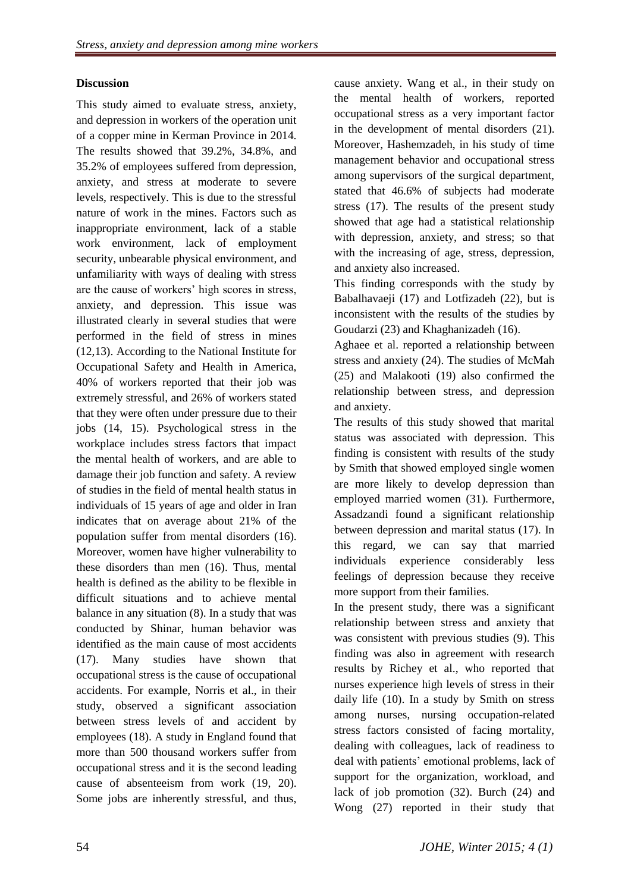### **Discussion**

This study aimed to evaluate stress, anxiety, and depression in workers of the operation unit of a copper mine in Kerman Province in 2014. The results showed that 39.2%, 34.8%, and 35.2% of employees suffered from depression, anxiety, and stress at moderate to severe levels, respectively. This is due to the stressful nature of work in the mines. Factors such as inappropriate environment, lack of a stable work environment, lack of employment security, unbearable physical environment, and unfamiliarity with ways of dealing with stress are the cause of workers' high scores in stress, anxiety, and depression. This issue was illustrated clearly in several studies that were performed in the field of stress in mines (12,13). According to the National Institute for Occupational Safety and Health in America, 40% of workers reported that their job was extremely stressful, and 26% of workers stated that they were often under pressure due to their jobs (14, 15). Psychological stress in the workplace includes stress factors that impact the mental health of workers, and are able to damage their job function and safety. A review of studies in the field of mental health status in individuals of 15 years of age and older in Iran indicates that on average about 21% of the population suffer from mental disorders (16). Moreover, women have higher vulnerability to these disorders than men (16). Thus, mental health is defined as the ability to be flexible in difficult situations and to achieve mental balance in any situation (8). In a study that was conducted by Shinar, human behavior was identified as the main cause of most accidents (17). Many studies have shown that occupational stress is the cause of occupational accidents. For example, Norris et al., in their study, observed a significant association between stress levels of and accident by employees (18). A study in England found that more than 500 thousand workers suffer from occupational stress and it is the second leading cause of absenteeism from work (19, 20). Some jobs are inherently stressful, and thus,

cause anxiety. Wang et al., in their study on the mental health of workers, reported occupational stress as a very important factor in the development of mental disorders (21). Moreover, Hashemzadeh, in his study of time management behavior and occupational stress among supervisors of the surgical department, stated that 46.6% of subjects had moderate stress (17). The results of the present study showed that age had a statistical relationship with depression, anxiety, and stress; so that with the increasing of age, stress, depression, and anxiety also increased.

This finding corresponds with the study by Babalhavaeji (17) and Lotfizadeh (22), but is inconsistent with the results of the studies by Goudarzi (23) and Khaghanizadeh (16).

Aghaee et al. reported a relationship between stress and anxiety (24). The studies of McMah (25) and Malakooti (19) also confirmed the relationship between stress, and depression and anxiety.

The results of this study showed that marital status was associated with depression. This finding is consistent with results of the study by Smith that showed employed single women are more likely to develop depression than employed married women (31). Furthermore, Assadzandi found a significant relationship between depression and marital status (17). In this regard, we can say that married individuals experience considerably less feelings of depression because they receive more support from their families.

In the present study, there was a significant relationship between stress and anxiety that was consistent with previous studies (9). This finding was also in agreement with research results by Richey et al., who reported that nurses experience high levels of stress in their daily life (10). In a study by Smith on stress among nurses, nursing occupation-related stress factors consisted of facing mortality, dealing with colleagues, lack of readiness to deal with patients' emotional problems, lack of support for the organization, workload, and lack of job promotion (32). Burch (24) and Wong (27) reported in their study that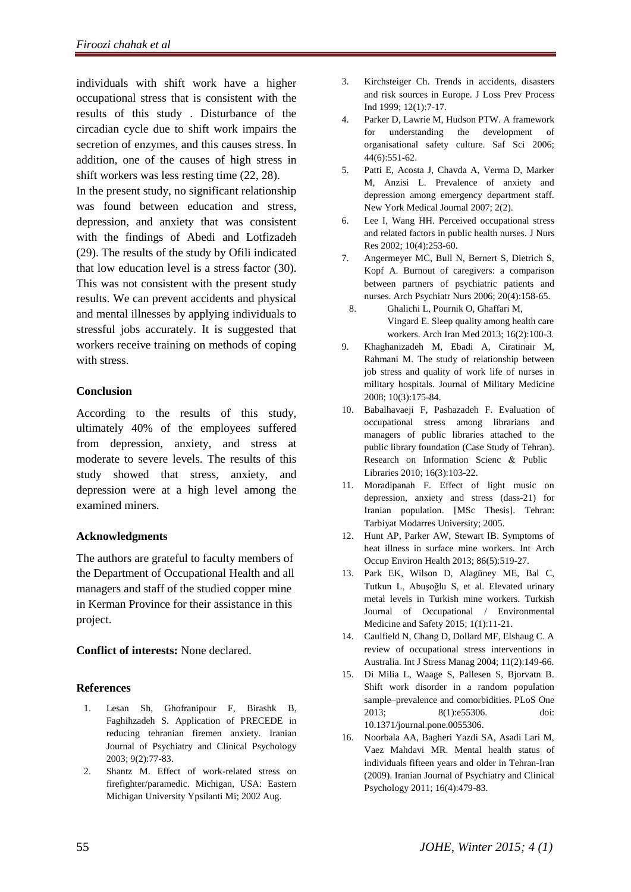individuals with shift work have a higher occupational stress that is consistent with the results of this study . Disturbance of the circadian cycle due to shift work impairs the secretion of enzymes, and this causes stress. In addition, one of the causes of high stress in shift workers was less resting time (22, 28).

In the present study, no significant relationship was found between education and stress, depression, and anxiety that was consistent with the findings of Abedi and Lotfizadeh (29). The results of the study by Ofili indicated that low education level is a stress factor (30). This was not consistent with the present study results. We can prevent accidents and physical and mental illnesses by applying individuals to stressful jobs accurately. It is suggested that workers receive training on methods of coping with stress.

#### **Conclusion**

According to the results of this study, ultimately 40% of the employees suffered from depression, anxiety, and stress at moderate to severe levels. The results of this study showed that stress, anxiety, and depression were at a high level among the examined miners.

#### **Acknowledgments**

The authors are grateful to faculty members of the Department of Occupational Health and all managers and staff of the studied copper mine in Kerman Province for their assistance in this project.

**Conflict of interests:** None declared.

### **References**

- 1. Lesan Sh, Ghofranipour F, Birashk B, Faghihzadeh S. Application of PRECEDE in reducing tehranian firemen anxiety. Iranian Journal of Psychiatry and Clinical Psychology 2003; 9(2):77-83.
- 2. Shantz M. Effect of work-related stress on firefighter/paramedic. Michigan, USA: Eastern Michigan University Ypsilanti Mi; 2002 Aug.
- 3. Kirchsteiger Ch. Trends in accidents, disasters and risk sources in Europe. J Loss Prev Process Ind 1999; 12(1):7-17.
- 4. Parker D, Lawrie M, Hudson PTW. A framework for understanding the development of organisational safety culture. Saf Sci 2006; 44(6):551-62.
- 5. Patti E, Acosta J, Chavda A, Verma D, Marker M, Anzisi L. Prevalence of anxiety and depression among emergency department staff. New York Medical Journal 2007; 2(2).
- 6. Lee I, Wang HH. Perceived occupational stress and related factors in public health nurses. J Nurs Res 2002; 10(4):253-60.
- 7. Angermeyer MC, Bull N, Bernert S, Dietrich S, Kopf A. Burnout of caregivers: a comparison between partners of psychiatric patients and nurses. Arch Psychiatr Nurs 2006; 20(4):158-65.
	- 8. Ghalichi L, Pournik O, Ghaffari M, Vingard E. Sleep quality among health care workers. Arch Iran Med 2013; 16(2):100-3.
- 9. Khaghanizadeh M, Ebadi A, Ciratinair M, Rahmani M. The study of relationship between job stress and quality of work life of nurses in military hospitals. Journal of Military Medicine 2008; 10(3):175-84.
- 10. Babalhavaeji F, Pashazadeh F. Evaluation of occupational stress among librarians and managers of public libraries attached to the public library foundation (Case Study of Tehran). Research on Information Scienc & Public Libraries 2010; 16(3):103-22.
- 11. Moradipanah F. Effect of light music on depression, anxiety and stress (dass-21) for Iranian population. [MSc Thesis]. Tehran: Tarbiyat Modarres University; 2005.
- 12. Hunt AP, Parker AW, Stewart IB. Symptoms of heat illness in surface mine workers. Int Arch Occup Environ Health 2013; 86(5):519-27.
- 13. Park EK, Wilson D, Alagüney ME, Bal C, Tutkun L, Abuşoğlu S, et al. Elevated urinary metal levels in Turkish mine workers. Turkish Journal of Occupational / Environmental Medicine and Safety 2015; 1(1):11-21.
- 14. Caulfield N, Chang D, Dollard MF, Elshaug C. A review of occupational stress interventions in Australia. Int J Stress Manag 2004; 11(2):149-66.
- 15. Di Milia L, Waage S, Pallesen S, Bjorvatn B. Shift work disorder in a random population sample–prevalence and comorbidities. PLoS One 2013; 8(1):e55306. doi: 10.1371/journal.pone.0055306.
- 16. Noorbala AA, Bagheri Yazdi SA, Asadi Lari M, Vaez Mahdavi MR. Mental health status of individuals fifteen years and older in Tehran-Iran (2009). Iranian Journal of Psychiatry and Clinical Psychology 2011; 16(4):479-83.